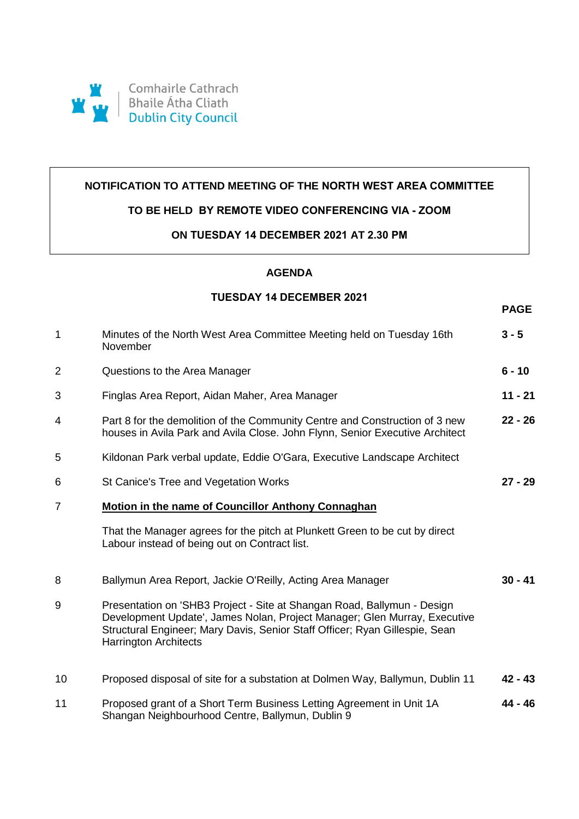

### **NOTIFICATION TO ATTEND MEETING OF THE NORTH WEST AREA COMMITTEE**

### **TO BE HELD BY REMOTE VIDEO CONFERENCING VIA - ZOOM**

#### **ON TUESDAY 14 DECEMBER 2021 AT 2.30 PM**

# **AGENDA**

### **TUESDAY 14 DECEMBER 2021**

**PAGE**

| $\mathbf{1}$   | Minutes of the North West Area Committee Meeting held on Tuesday 16th<br>November                                                                                                                                                                                   | $3 - 5$   |
|----------------|---------------------------------------------------------------------------------------------------------------------------------------------------------------------------------------------------------------------------------------------------------------------|-----------|
| 2              | Questions to the Area Manager                                                                                                                                                                                                                                       | $6 - 10$  |
| 3              | Finglas Area Report, Aidan Maher, Area Manager                                                                                                                                                                                                                      | $11 - 21$ |
| 4              | Part 8 for the demolition of the Community Centre and Construction of 3 new<br>houses in Avila Park and Avila Close. John Flynn, Senior Executive Architect                                                                                                         | $22 - 26$ |
| 5              | Kildonan Park verbal update, Eddie O'Gara, Executive Landscape Architect                                                                                                                                                                                            |           |
| 6              | St Canice's Tree and Vegetation Works                                                                                                                                                                                                                               | $27 - 29$ |
| $\overline{7}$ | Motion in the name of Councillor Anthony Connaghan                                                                                                                                                                                                                  |           |
|                | That the Manager agrees for the pitch at Plunkett Green to be cut by direct<br>Labour instead of being out on Contract list.                                                                                                                                        |           |
| 8              | Ballymun Area Report, Jackie O'Reilly, Acting Area Manager                                                                                                                                                                                                          | $30 - 41$ |
| 9              | Presentation on 'SHB3 Project - Site at Shangan Road, Ballymun - Design<br>Development Update', James Nolan, Project Manager; Glen Murray, Executive<br>Structural Engineer; Mary Davis, Senior Staff Officer; Ryan Gillespie, Sean<br><b>Harrington Architects</b> |           |
| 10             | Proposed disposal of site for a substation at Dolmen Way, Ballymun, Dublin 11                                                                                                                                                                                       | $42 - 43$ |
| 11             | Proposed grant of a Short Term Business Letting Agreement in Unit 1A<br>Shangan Neighbourhood Centre, Ballymun, Dublin 9                                                                                                                                            | 44 - 46   |